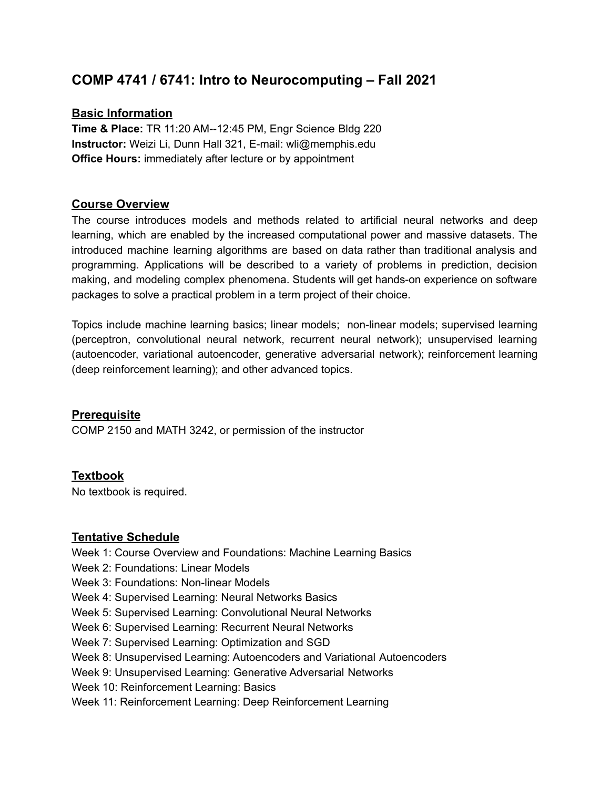# **COMP 4741 / 6741: Intro to Neurocomputing – Fall 2021**

## **Basic Information**

**Time & Place:** TR 11:20 AM--12:45 PM, Engr Science Bldg 220 **Instructor:** Weizi Li, Dunn Hall 321, E-mail: wli@memphis.edu **Office Hours:** immediately after lecture or by appointment

## **Course Overview**

The course introduces models and methods related to artificial neural networks and deep learning, which are enabled by the increased computational power and massive datasets. The introduced machine learning algorithms are based on data rather than traditional analysis and programming. Applications will be described to a variety of problems in prediction, decision making, and modeling complex phenomena. Students will get hands-on experience on software packages to solve a practical problem in a term project of their choice.

Topics include machine learning basics; linear models; non-linear models; supervised learning (perceptron, convolutional neural network, recurrent neural network); unsupervised learning (autoencoder, variational autoencoder, generative adversarial network); reinforcement learning (deep reinforcement learning); and other advanced topics.

### **Prerequisite**

COMP 2150 and MATH 3242, or permission of the instructor

### **Textbook**

No textbook is required.

### **Tentative Schedule**

- Week 1: Course Overview and Foundations: Machine Learning Basics
- Week 2: Foundations: Linear Models
- Week 3: Foundations: Non-linear Models
- Week 4: Supervised Learning: Neural Networks Basics
- Week 5: Supervised Learning: Convolutional Neural Networks
- Week 6: Supervised Learning: Recurrent Neural Networks
- Week 7: Supervised Learning: Optimization and SGD
- Week 8: Unsupervised Learning: Autoencoders and Variational Autoencoders
- Week 9: Unsupervised Learning: Generative Adversarial Networks
- Week 10: Reinforcement Learning: Basics
- Week 11: Reinforcement Learning: Deep Reinforcement Learning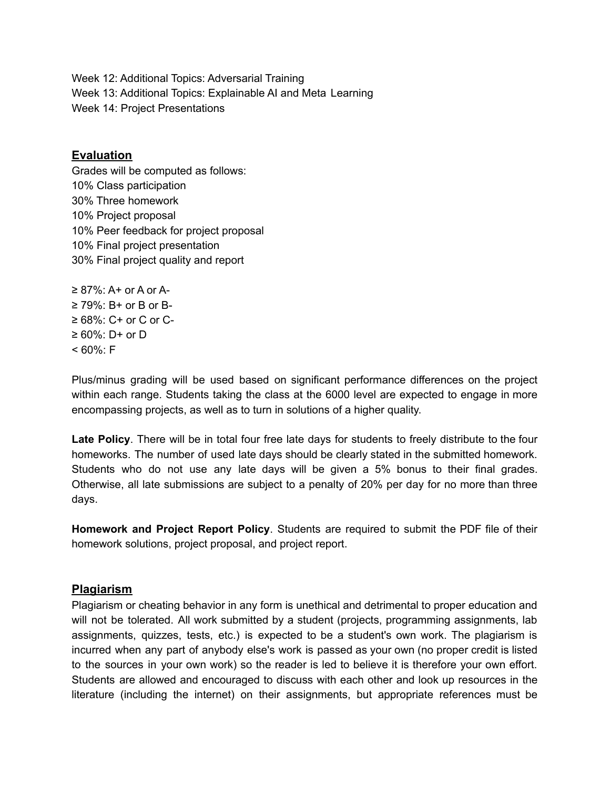Week 12: Additional Topics: Adversarial Training Week 13: Additional Topics: Explainable AI and Meta Learning Week 14: Project Presentations

#### **Evaluation**

Grades will be computed as follows: 10% Class participation 30% Three homework 10% Project proposal 10% Peer feedback for project proposal 10% Final project presentation 30% Final project quality and report

 $\geq$  87%: A+ or A or A- $\geq$  79%: B+ or B or B- $\geq 68\%$ : C+ or C or C-≥ 60%: D+ or D  $< 60\%$ : F

Plus/minus grading will be used based on significant performance differences on the project within each range. Students taking the class at the 6000 level are expected to engage in more encompassing projects, as well as to turn in solutions of a higher quality.

**Late Policy**. There will be in total four free late days for students to freely distribute to the four homeworks. The number of used late days should be clearly stated in the submitted homework. Students who do not use any late days will be given a 5% bonus to their final grades. Otherwise, all late submissions are subject to a penalty of 20% per day for no more than three days.

**Homework and Project Report Policy**. Students are required to submit the PDF file of their homework solutions, project proposal, and project report.

### **Plagiarism**

Plagiarism or cheating behavior in any form is unethical and detrimental to proper education and will not be tolerated. All work submitted by a student (projects, programming assignments, lab assignments, quizzes, tests, etc.) is expected to be a student's own work. The plagiarism is incurred when any part of anybody else's work is passed as your own (no proper credit is listed to the sources in your own work) so the reader is led to believe it is therefore your own effort. Students are allowed and encouraged to discuss with each other and look up resources in the literature (including the internet) on their assignments, but appropriate references must be